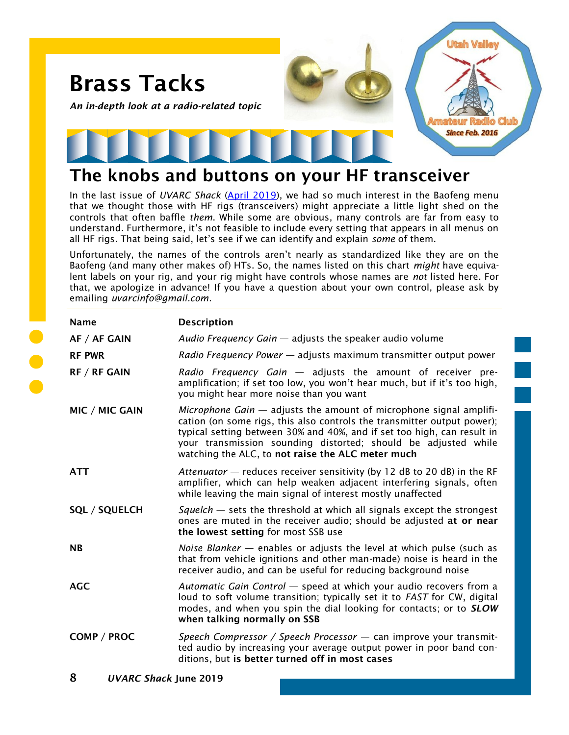

## **The knobs and buttons on your HF transceiver**

In the last issue of *UVARC Shack* [\(April 2019\),](https://noji.com/hamradio/uvarc/shack/UVARC-Shack-1904.pdf) we had so much interest in the Baofeng menu that we thought those with HF rigs (transceivers) might appreciate a little light shed on the controls that often baffle *them*. While some are obvious, many controls are far from easy to understand. Furthermore, it's not feasible to include every setting that appears in all menus on all HF rigs. That being said, let's see if we can identify and explain *some* of them.

Unfortunately, the names of the controls aren't nearly as standardized like they are on the Baofeng (and many other makes of) HTs. So, the names listed on this chart *might* have equivalent labels on your rig, and your rig might have controls whose names are *not* listed here. For that, we apologize in advance! If you have a question about your own control, please ask by emailing *uvarcinfo@gmail.com*.

| <b>Name</b>          | <b>Description</b>                                                                                                                                                                                                                                                                                                                                |
|----------------------|---------------------------------------------------------------------------------------------------------------------------------------------------------------------------------------------------------------------------------------------------------------------------------------------------------------------------------------------------|
| AF / AF GAIN         | Audio Frequency Gain $-$ adjusts the speaker audio volume                                                                                                                                                                                                                                                                                         |
| <b>RF PWR</b>        | Radio Frequency Power - adjusts maximum transmitter output power                                                                                                                                                                                                                                                                                  |
| <b>RF / RF GAIN</b>  | Radio Frequency Gain - adjusts the amount of receiver pre-<br>amplification; if set too low, you won't hear much, but if it's too high,<br>you might hear more noise than you want                                                                                                                                                                |
| MIC / MIC GAIN       | Microphone Gain $-$ adjusts the amount of microphone signal amplifi-<br>cation (on some rigs, this also controls the transmitter output power);<br>typical setting between 30% and 40%, and if set too high, can result in<br>your transmission sounding distorted; should be adjusted while<br>watching the ALC, to not raise the ALC meter much |
| <b>ATT</b>           | Attenuator – reduces receiver sensitivity (by 12 dB to 20 dB) in the RF<br>amplifier, which can help weaken adjacent interfering signals, often<br>while leaving the main signal of interest mostly unaffected                                                                                                                                    |
| <b>SQL / SQUELCH</b> | Squelch $-$ sets the threshold at which all signals except the strongest<br>ones are muted in the receiver audio; should be adjusted at or near<br>the lowest setting for most SSB use                                                                                                                                                            |
| <b>NB</b>            | Noise Blanker $-$ enables or adjusts the level at which pulse (such as<br>that from vehicle ignitions and other man-made) noise is heard in the<br>receiver audio, and can be useful for reducing background noise                                                                                                                                |
| <b>AGC</b>           | Automatic Gain Control - speed at which your audio recovers from a<br>loud to soft volume transition; typically set it to FAST for CW, digital<br>modes, and when you spin the dial looking for contacts; or to SLOW<br>when talking normally on SSB                                                                                              |
| COMP / PROC          | Speech Compressor / Speech Processor - can improve your transmit-<br>ted audio by increasing your average output power in poor band con-<br>ditions, but is better turned off in most cases                                                                                                                                                       |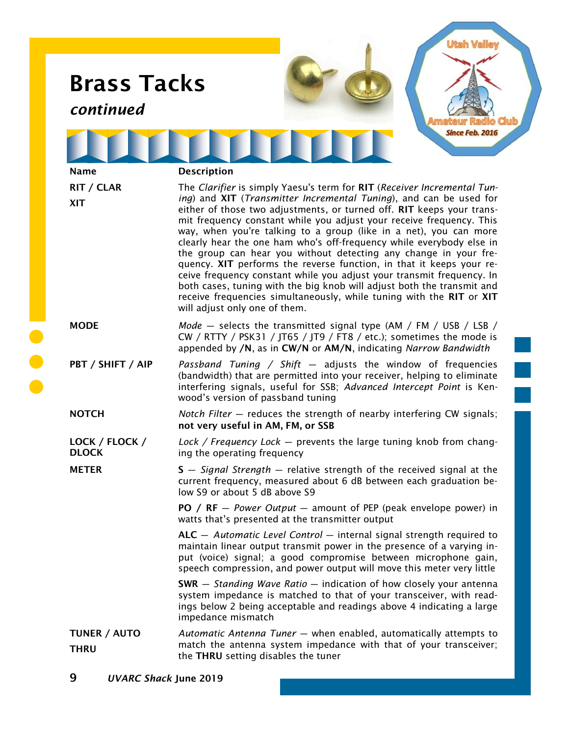| <b>Brass Tacks</b><br>continued |                                                                                                                                                                                                                                                                                                                                                                                                                                                                                                                                                                                                                                                                                                                                                                                                                                                     |  |
|---------------------------------|-----------------------------------------------------------------------------------------------------------------------------------------------------------------------------------------------------------------------------------------------------------------------------------------------------------------------------------------------------------------------------------------------------------------------------------------------------------------------------------------------------------------------------------------------------------------------------------------------------------------------------------------------------------------------------------------------------------------------------------------------------------------------------------------------------------------------------------------------------|--|
|                                 | Since Feb. 2016                                                                                                                                                                                                                                                                                                                                                                                                                                                                                                                                                                                                                                                                                                                                                                                                                                     |  |
| <b>Name</b>                     | <b>Description</b>                                                                                                                                                                                                                                                                                                                                                                                                                                                                                                                                                                                                                                                                                                                                                                                                                                  |  |
| RIT / CLAR<br><b>XIT</b>        | The Clarifier is simply Yaesu's term for RIT (Receiver Incremental Tun-<br>ing) and XIT (Transmitter Incremental Tuning), and can be used for<br>either of those two adjustments, or turned off. RIT keeps your trans-<br>mit frequency constant while you adjust your receive frequency. This<br>way, when you're talking to a group (like in a net), you can more<br>clearly hear the one ham who's off-frequency while everybody else in<br>the group can hear you without detecting any change in your fre-<br>quency. XIT performs the reverse function, in that it keeps your re-<br>ceive frequency constant while you adjust your transmit frequency. In<br>both cases, tuning with the big knob will adjust both the transmit and<br>receive frequencies simultaneously, while tuning with the RIT or XIT<br>will adjust only one of them. |  |
| <b>MODE</b>                     | Mode $-$ selects the transmitted signal type (AM / FM / USB / LSB /<br>CW / RTTY / PSK31 / JT65 / JT9 / FT8 / etc.); sometimes the mode is<br>appended by /N, as in CW/N or AM/N, indicating Narrow Bandwidth                                                                                                                                                                                                                                                                                                                                                                                                                                                                                                                                                                                                                                       |  |
| PBT / SHIFT / AIP               | Passband Tuning / Shift $-$ adjusts the window of frequencies<br>(bandwidth) that are permitted into your receiver, helping to eliminate<br>interfering signals, useful for SSB; Advanced Intercept Point is Ken-<br>wood's version of passband tuning                                                                                                                                                                                                                                                                                                                                                                                                                                                                                                                                                                                              |  |
| <b>NOTCH</b>                    | Notch Filter - reduces the strength of nearby interfering CW signals;<br>not very useful in AM, FM, or SSB                                                                                                                                                                                                                                                                                                                                                                                                                                                                                                                                                                                                                                                                                                                                          |  |
| LOCK / FLOCK /<br><b>DLOCK</b>  | Lock / Frequency Lock – prevents the large tuning knob from chang-<br>ing the operating frequency                                                                                                                                                                                                                                                                                                                                                                                                                                                                                                                                                                                                                                                                                                                                                   |  |
| <b>METER</b>                    | $S - Signal Strength - relative strength of the received signal at the$<br>current frequency, measured about 6 dB between each graduation be-<br>low S9 or about 5 dB above S9                                                                                                                                                                                                                                                                                                                                                                                                                                                                                                                                                                                                                                                                      |  |
|                                 | PO / RF $-$ Power Output $-$ amount of PEP (peak envelope power) in<br>watts that's presented at the transmitter output                                                                                                                                                                                                                                                                                                                                                                                                                                                                                                                                                                                                                                                                                                                             |  |
|                                 | $ALC -$ Automatic Level Control $-$ internal signal strength required to<br>maintain linear output transmit power in the presence of a varying in-<br>put (voice) signal; a good compromise between microphone gain,<br>speech compression, and power output will move this meter very little                                                                                                                                                                                                                                                                                                                                                                                                                                                                                                                                                       |  |
|                                 | $SWR -$ Standing Wave Ratio $-$ indication of how closely your antenna<br>system impedance is matched to that of your transceiver, with read-<br>ings below 2 being acceptable and readings above 4 indicating a large<br>impedance mismatch                                                                                                                                                                                                                                                                                                                                                                                                                                                                                                                                                                                                        |  |
| TUNER / AUTO<br><b>THRU</b>     | Automatic Antenna Tuner - when enabled, automatically attempts to<br>match the antenna system impedance with that of your transceiver;<br>the THRU setting disables the tuner                                                                                                                                                                                                                                                                                                                                                                                                                                                                                                                                                                                                                                                                       |  |